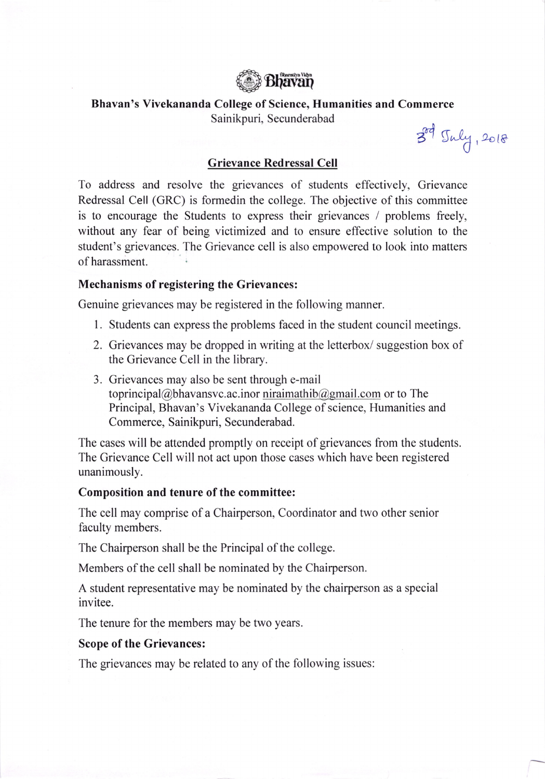

Bhavan's Vivekananda College of Science, Humanities and Commerce

Sainikpuri, Secunderabad

 $3^{\circ 4}$  Tuly, 2018

## Grievance Redressal Cell

To address and resolve the grievances of students effectively, Grievance Redressal Cell (GRC) is formedin the college. The objective of this committee is to encourage the Students to express their grievances / problems freely, without any fear of being victimized and to ensure effective solution to the student's grievances. The Grievance cell is also empowered to look into matters of harassment.

## Mechanisms of registering the Grievances:

Genuine grievances may be registered in the following manner.

- 1. Students can express the problems faced in the student council meetings.
- 2. Grievances may be dropped in writing at the letterbox/ suggestion box of the Grievance Cell in the library.
- 3. Grievances may also be sent through e-mail toprincipal@bhavansvc. ac. inor niraimathib@gmail.com or to The Principal, Bhavan's Vivekananda College of science, Humanities and Commerce, Sainikpuri, Secunderabad.

The cases will be attended promptly on receipt of grievances from the students. The Grievance Cell will not act upon those cases which have been registered unanimously.

## Composition and tenure of the committee:

The cell may comprise of a Chairperson, Coordinator and two other senior faculty members.

The Chairperson shall be the Principal of the college.

Members of the cell shall be nominated by the Chairperson.

A student representative may be nominated by the chairperson as a special invitee.

The tenure for the members may be two years.

## Scope of the Grievances:

The grievances may be related to any of the following issues: